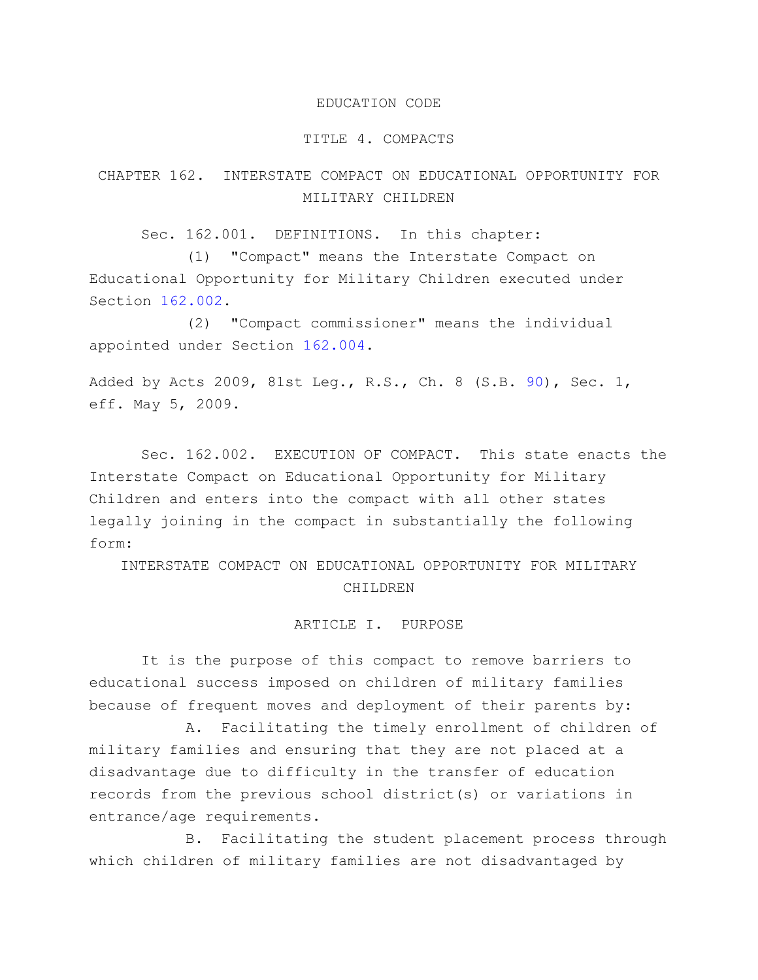#### EDUCATION CODE

#### TITLE 4. COMPACTS

# CHAPTER 162. INTERSTATE COMPACT ON EDUCATIONAL OPPORTUNITY FOR MILITARY CHILDREN

Sec. 162.001. DEFINITIONS. In this chapter:

(1) "Compact" means the Interstate Compact on Educational Opportunity for Military Children executed under Section [162.002.](http://www.statutes.legis.state.tx.us/GetStatute.aspx?Code=ED&Value=162.002)

(2) "Compact commissioner" means the individual appointed under Section [162.004.](http://www.statutes.legis.state.tx.us/GetStatute.aspx?Code=ED&Value=162.004)

Added by Acts 2009, 81st Leg., R.S., Ch. 8 (S.B. [90\)](http://www.legis.state.tx.us/tlodocs/81R/billtext/html/SB00090F.HTM), Sec. 1, eff. May 5, 2009.

Sec. 162.002. EXECUTION OF COMPACT. This state enacts the Interstate Compact on Educational Opportunity for Military Children and enters into the compact with all other states legally joining in the compact in substantially the following form:

INTERSTATE COMPACT ON EDUCATIONAL OPPORTUNITY FOR MILITARY CHILDREN

#### ARTICLE I. PURPOSE

It is the purpose of this compact to remove barriers to educational success imposed on children of military families because of frequent moves and deployment of their parents by:

A. Facilitating the timely enrollment of children of military families and ensuring that they are not placed at a disadvantage due to difficulty in the transfer of education records from the previous school district(s) or variations in entrance/age requirements.

B. Facilitating the student placement process through which children of military families are not disadvantaged by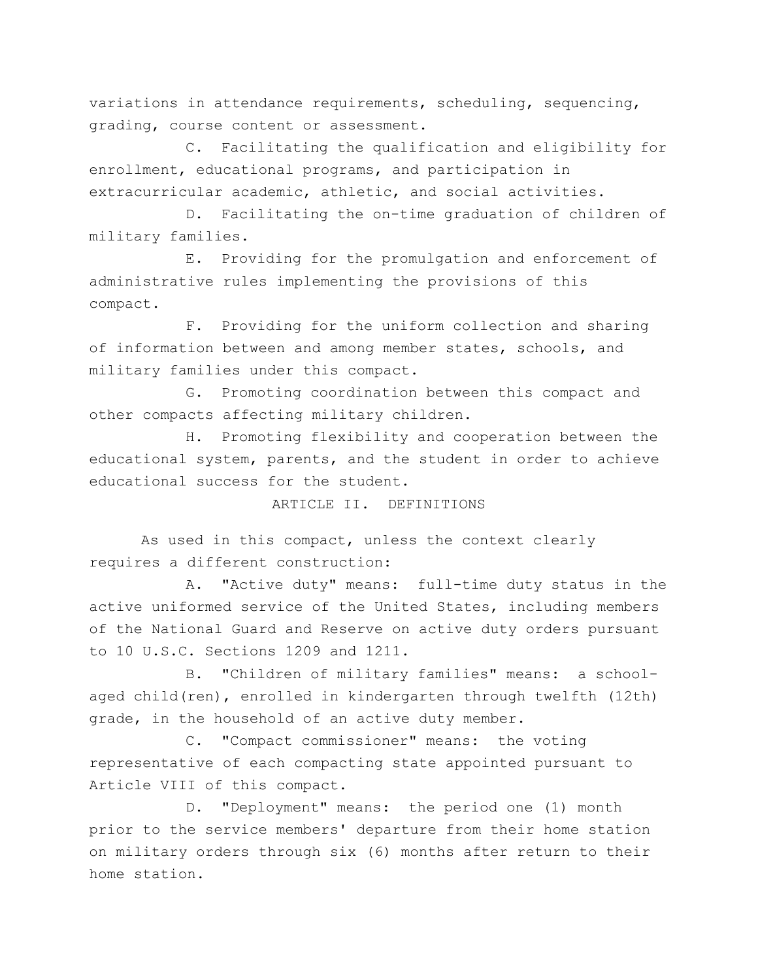variations in attendance requirements, scheduling, sequencing, grading, course content or assessment.

C. Facilitating the qualification and eligibility for enrollment, educational programs, and participation in extracurricular academic, athletic, and social activities.

D. Facilitating the on-time graduation of children of military families.

E. Providing for the promulgation and enforcement of administrative rules implementing the provisions of this compact.

F. Providing for the uniform collection and sharing of information between and among member states, schools, and military families under this compact.

G. Promoting coordination between this compact and other compacts affecting military children.

H. Promoting flexibility and cooperation between the educational system, parents, and the student in order to achieve educational success for the student.

ARTICLE II. DEFINITIONS

As used in this compact, unless the context clearly requires a different construction:

A. "Active duty" means: full-time duty status in the active uniformed service of the United States, including members of the National Guard and Reserve on active duty orders pursuant to 10 U.S.C. Sections 1209 and 1211.

B. "Children of military families" means: a schoolaged child(ren), enrolled in kindergarten through twelfth (12th) grade, in the household of an active duty member.

C. "Compact commissioner" means: the voting representative of each compacting state appointed pursuant to Article VIII of this compact.

D. "Deployment" means: the period one (1) month prior to the service members' departure from their home station on military orders through six (6) months after return to their home station.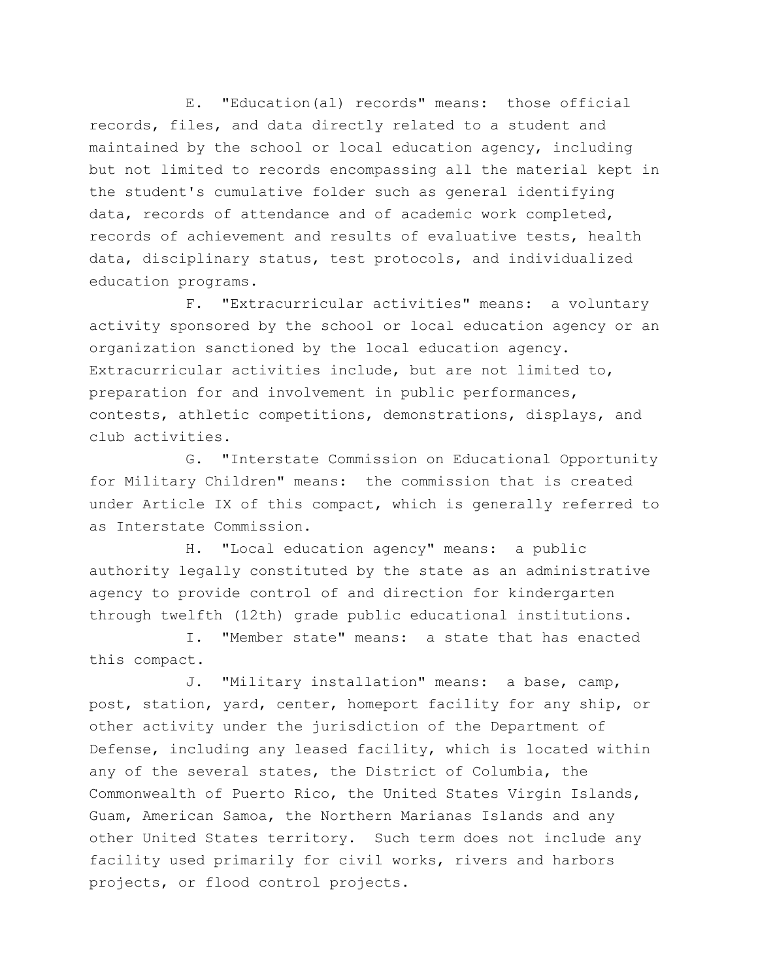E. "Education(al) records" means: those official records, files, and data directly related to a student and maintained by the school or local education agency, including but not limited to records encompassing all the material kept in the student's cumulative folder such as general identifying data, records of attendance and of academic work completed, records of achievement and results of evaluative tests, health data, disciplinary status, test protocols, and individualized education programs.

F. "Extracurricular activities" means: a voluntary activity sponsored by the school or local education agency or an organization sanctioned by the local education agency. Extracurricular activities include, but are not limited to, preparation for and involvement in public performances, contests, athletic competitions, demonstrations, displays, and club activities.

G. "Interstate Commission on Educational Opportunity for Military Children" means: the commission that is created under Article IX of this compact, which is generally referred to as Interstate Commission.

H. "Local education agency" means: a public authority legally constituted by the state as an administrative agency to provide control of and direction for kindergarten through twelfth (12th) grade public educational institutions.

I. "Member state" means: a state that has enacted this compact.

J. "Military installation" means: a base, camp, post, station, yard, center, homeport facility for any ship, or other activity under the jurisdiction of the Department of Defense, including any leased facility, which is located within any of the several states, the District of Columbia, the Commonwealth of Puerto Rico, the United States Virgin Islands, Guam, American Samoa, the Northern Marianas Islands and any other United States territory. Such term does not include any facility used primarily for civil works, rivers and harbors projects, or flood control projects.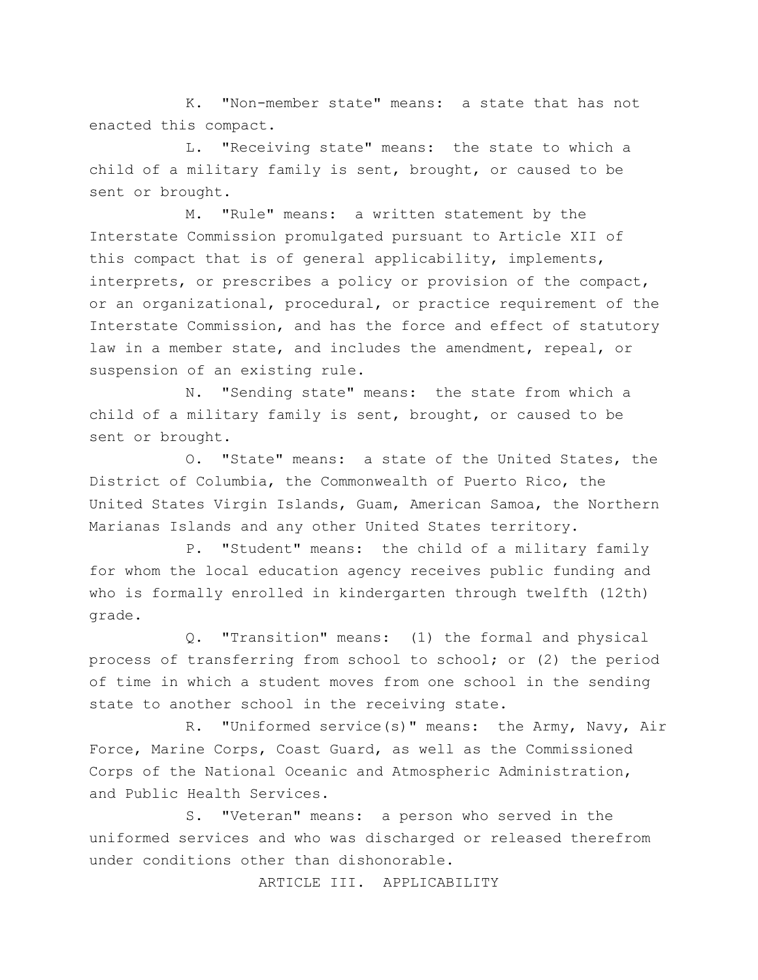K. "Non-member state" means: a state that has not enacted this compact.

L. "Receiving state" means: the state to which a child of a military family is sent, brought, or caused to be sent or brought.

M. "Rule" means: a written statement by the Interstate Commission promulgated pursuant to Article XII of this compact that is of general applicability, implements, interprets, or prescribes a policy or provision of the compact, or an organizational, procedural, or practice requirement of the Interstate Commission, and has the force and effect of statutory law in a member state, and includes the amendment, repeal, or suspension of an existing rule.

N. "Sending state" means: the state from which a child of a military family is sent, brought, or caused to be sent or brought.

O. "State" means: a state of the United States, the District of Columbia, the Commonwealth of Puerto Rico, the United States Virgin Islands, Guam, American Samoa, the Northern Marianas Islands and any other United States territory.

P. "Student" means: the child of a military family for whom the local education agency receives public funding and who is formally enrolled in kindergarten through twelfth (12th) grade.

Q. "Transition" means: (1) the formal and physical process of transferring from school to school; or (2) the period of time in which a student moves from one school in the sending state to another school in the receiving state.

R. "Uniformed service(s)" means: the Army, Navy, Air Force, Marine Corps, Coast Guard, as well as the Commissioned Corps of the National Oceanic and Atmospheric Administration, and Public Health Services.

S. "Veteran" means: a person who served in the uniformed services and who was discharged or released therefrom under conditions other than dishonorable.

ARTICLE III. APPLICABILITY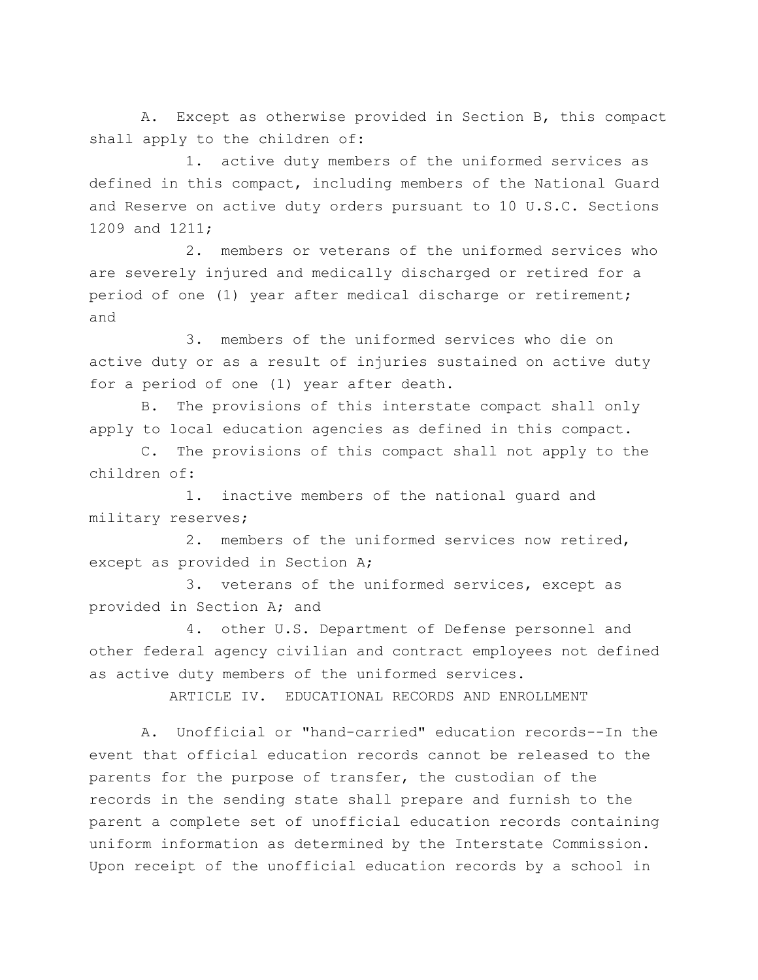A. Except as otherwise provided in Section B, this compact shall apply to the children of:

1. active duty members of the uniformed services as defined in this compact, including members of the National Guard and Reserve on active duty orders pursuant to 10 U.S.C. Sections 1209 and 1211;

2. members or veterans of the uniformed services who are severely injured and medically discharged or retired for a period of one (1) year after medical discharge or retirement; and

3. members of the uniformed services who die on active duty or as a result of injuries sustained on active duty for a period of one (1) year after death.

B. The provisions of this interstate compact shall only apply to local education agencies as defined in this compact.

C. The provisions of this compact shall not apply to the children of:

1. inactive members of the national guard and military reserves;

2. members of the uniformed services now retired, except as provided in Section A;

3. veterans of the uniformed services, except as provided in Section A; and

4. other U.S. Department of Defense personnel and other federal agency civilian and contract employees not defined as active duty members of the uniformed services.

ARTICLE IV. EDUCATIONAL RECORDS AND ENROLLMENT

A. Unofficial or "hand-carried" education records--In the event that official education records cannot be released to the parents for the purpose of transfer, the custodian of the records in the sending state shall prepare and furnish to the parent a complete set of unofficial education records containing uniform information as determined by the Interstate Commission. Upon receipt of the unofficial education records by a school in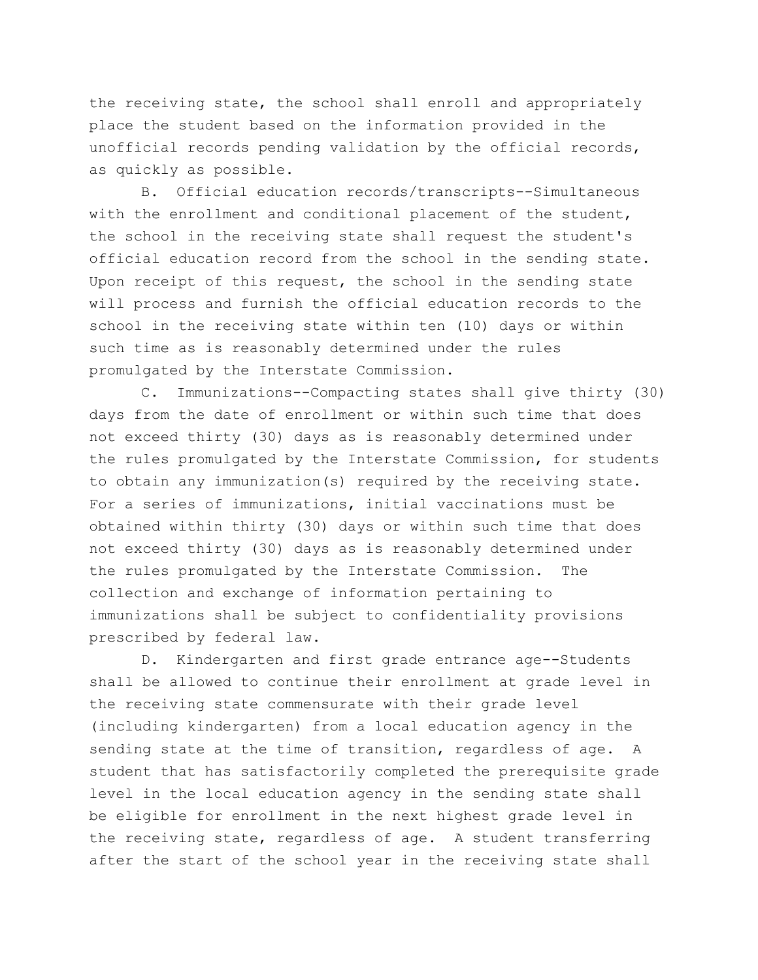the receiving state, the school shall enroll and appropriately place the student based on the information provided in the unofficial records pending validation by the official records, as quickly as possible.

B. Official education records/transcripts--Simultaneous with the enrollment and conditional placement of the student, the school in the receiving state shall request the student's official education record from the school in the sending state. Upon receipt of this request, the school in the sending state will process and furnish the official education records to the school in the receiving state within ten (10) days or within such time as is reasonably determined under the rules promulgated by the Interstate Commission.

C. Immunizations--Compacting states shall give thirty (30) days from the date of enrollment or within such time that does not exceed thirty (30) days as is reasonably determined under the rules promulgated by the Interstate Commission, for students to obtain any immunization(s) required by the receiving state. For a series of immunizations, initial vaccinations must be obtained within thirty (30) days or within such time that does not exceed thirty (30) days as is reasonably determined under the rules promulgated by the Interstate Commission. The collection and exchange of information pertaining to immunizations shall be subject to confidentiality provisions prescribed by federal law.

D. Kindergarten and first grade entrance age--Students shall be allowed to continue their enrollment at grade level in the receiving state commensurate with their grade level (including kindergarten) from a local education agency in the sending state at the time of transition, regardless of age. A student that has satisfactorily completed the prerequisite grade level in the local education agency in the sending state shall be eligible for enrollment in the next highest grade level in the receiving state, regardless of age. A student transferring after the start of the school year in the receiving state shall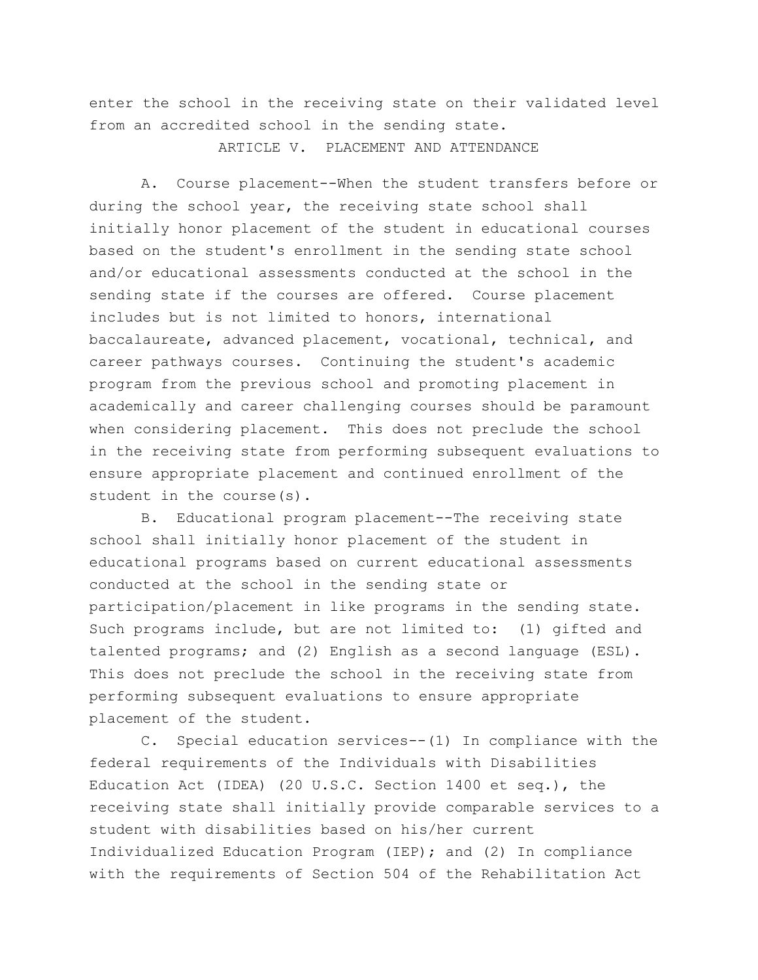enter the school in the receiving state on their validated level from an accredited school in the sending state.

ARTICLE V. PLACEMENT AND ATTENDANCE

A. Course placement--When the student transfers before or during the school year, the receiving state school shall initially honor placement of the student in educational courses based on the student's enrollment in the sending state school and/or educational assessments conducted at the school in the sending state if the courses are offered. Course placement includes but is not limited to honors, international baccalaureate, advanced placement, vocational, technical, and career pathways courses. Continuing the student's academic program from the previous school and promoting placement in academically and career challenging courses should be paramount when considering placement. This does not preclude the school in the receiving state from performing subsequent evaluations to ensure appropriate placement and continued enrollment of the student in the course(s).

B. Educational program placement--The receiving state school shall initially honor placement of the student in educational programs based on current educational assessments conducted at the school in the sending state or participation/placement in like programs in the sending state. Such programs include, but are not limited to: (1) gifted and talented programs; and (2) English as a second language (ESL). This does not preclude the school in the receiving state from performing subsequent evaluations to ensure appropriate placement of the student.

C. Special education services--(1) In compliance with the federal requirements of the Individuals with Disabilities Education Act (IDEA) (20 U.S.C. Section 1400 et seq.), the receiving state shall initially provide comparable services to a student with disabilities based on his/her current Individualized Education Program (IEP); and (2) In compliance with the requirements of Section 504 of the Rehabilitation Act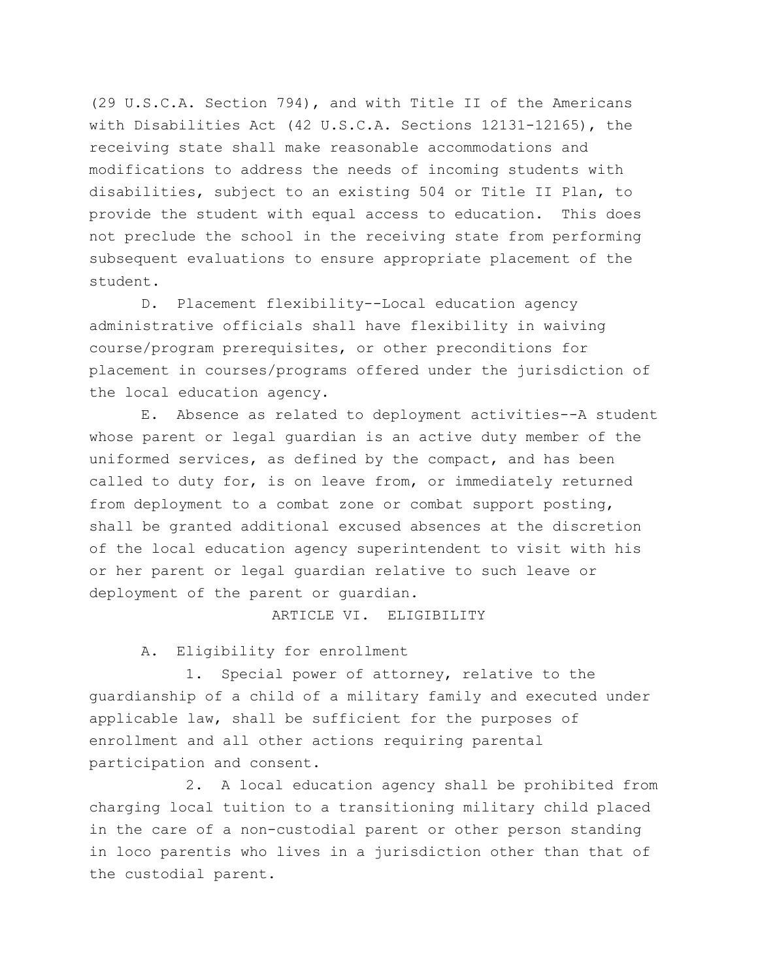(29 U.S.C.A. Section 794), and with Title II of the Americans with Disabilities Act (42 U.S.C.A. Sections 12131-12165), the receiving state shall make reasonable accommodations and modifications to address the needs of incoming students with disabilities, subject to an existing 504 or Title II Plan, to provide the student with equal access to education. This does not preclude the school in the receiving state from performing subsequent evaluations to ensure appropriate placement of the student.

D. Placement flexibility--Local education agency administrative officials shall have flexibility in waiving course/program prerequisites, or other preconditions for placement in courses/programs offered under the jurisdiction of the local education agency.

E. Absence as related to deployment activities--A student whose parent or legal guardian is an active duty member of the uniformed services, as defined by the compact, and has been called to duty for, is on leave from, or immediately returned from deployment to a combat zone or combat support posting, shall be granted additional excused absences at the discretion of the local education agency superintendent to visit with his or her parent or legal guardian relative to such leave or deployment of the parent or guardian.

ARTICLE VI. ELIGIBILITY

A. Eligibility for enrollment

1. Special power of attorney, relative to the guardianship of a child of a military family and executed under applicable law, shall be sufficient for the purposes of enrollment and all other actions requiring parental participation and consent.

2. A local education agency shall be prohibited from charging local tuition to a transitioning military child placed in the care of a non-custodial parent or other person standing in loco parentis who lives in a jurisdiction other than that of the custodial parent.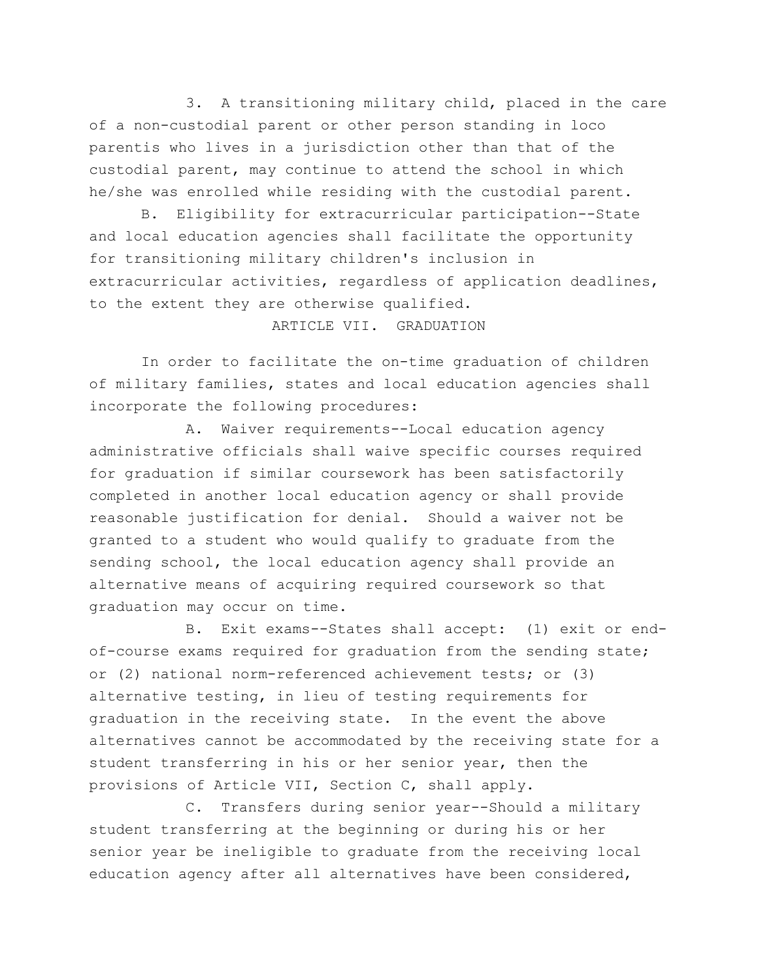3. A transitioning military child, placed in the care of a non-custodial parent or other person standing in loco parentis who lives in a jurisdiction other than that of the custodial parent, may continue to attend the school in which he/she was enrolled while residing with the custodial parent.

B. Eligibility for extracurricular participation--State and local education agencies shall facilitate the opportunity for transitioning military children's inclusion in extracurricular activities, regardless of application deadlines, to the extent they are otherwise qualified.

## ARTICLE VII. GRADUATION

In order to facilitate the on-time graduation of children of military families, states and local education agencies shall incorporate the following procedures:

A. Waiver requirements--Local education agency administrative officials shall waive specific courses required for graduation if similar coursework has been satisfactorily completed in another local education agency or shall provide reasonable justification for denial. Should a waiver not be granted to a student who would qualify to graduate from the sending school, the local education agency shall provide an alternative means of acquiring required coursework so that graduation may occur on time.

B. Exit exams--States shall accept: (1) exit or endof-course exams required for graduation from the sending state; or (2) national norm-referenced achievement tests; or (3) alternative testing, in lieu of testing requirements for graduation in the receiving state. In the event the above alternatives cannot be accommodated by the receiving state for a student transferring in his or her senior year, then the provisions of Article VII, Section C, shall apply.

C. Transfers during senior year--Should a military student transferring at the beginning or during his or her senior year be ineligible to graduate from the receiving local education agency after all alternatives have been considered,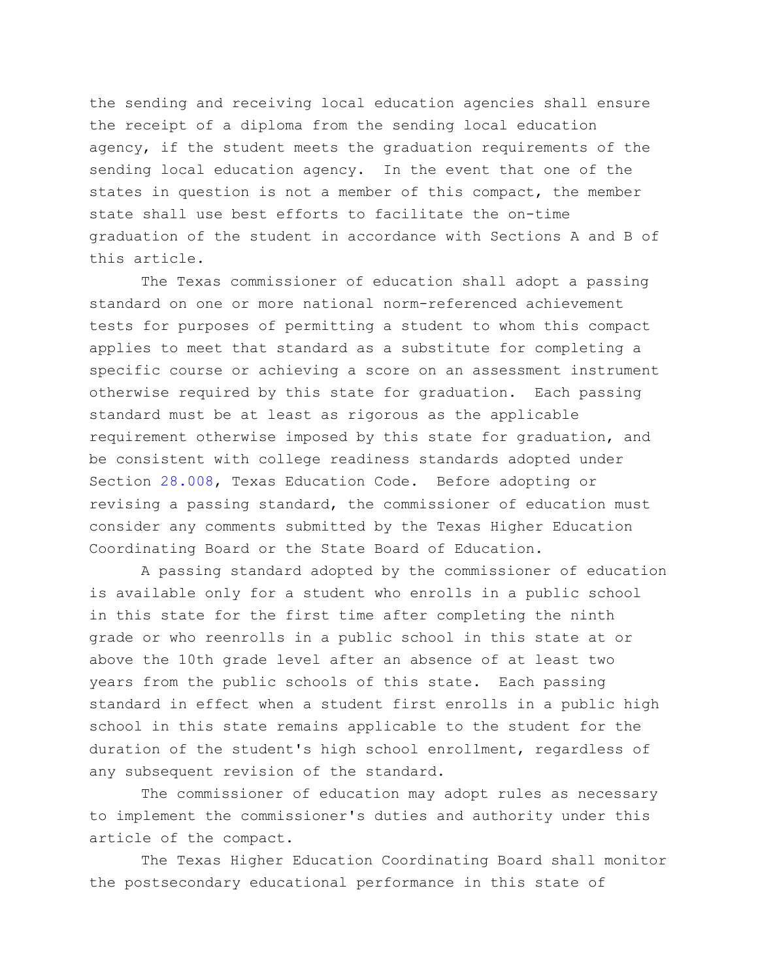the sending and receiving local education agencies shall ensure the receipt of a diploma from the sending local education agency, if the student meets the graduation requirements of the sending local education agency. In the event that one of the states in question is not a member of this compact, the member state shall use best efforts to facilitate the on-time graduation of the student in accordance with Sections A and B of this article.

The Texas commissioner of education shall adopt a passing standard on one or more national norm-referenced achievement tests for purposes of permitting a student to whom this compact applies to meet that standard as a substitute for completing a specific course or achieving a score on an assessment instrument otherwise required by this state for graduation. Each passing standard must be at least as rigorous as the applicable requirement otherwise imposed by this state for graduation, and be consistent with college readiness standards adopted under Section [28.008,](http://www.statutes.legis.state.tx.us/GetStatute.aspx?Code=ED&Value=28.008) Texas Education Code. Before adopting or revising a passing standard, the commissioner of education must consider any comments submitted by the Texas Higher Education Coordinating Board or the State Board of Education.

A passing standard adopted by the commissioner of education is available only for a student who enrolls in a public school in this state for the first time after completing the ninth grade or who reenrolls in a public school in this state at or above the 10th grade level after an absence of at least two years from the public schools of this state. Each passing standard in effect when a student first enrolls in a public high school in this state remains applicable to the student for the duration of the student's high school enrollment, regardless of any subsequent revision of the standard.

The commissioner of education may adopt rules as necessary to implement the commissioner's duties and authority under this article of the compact.

The Texas Higher Education Coordinating Board shall monitor the postsecondary educational performance in this state of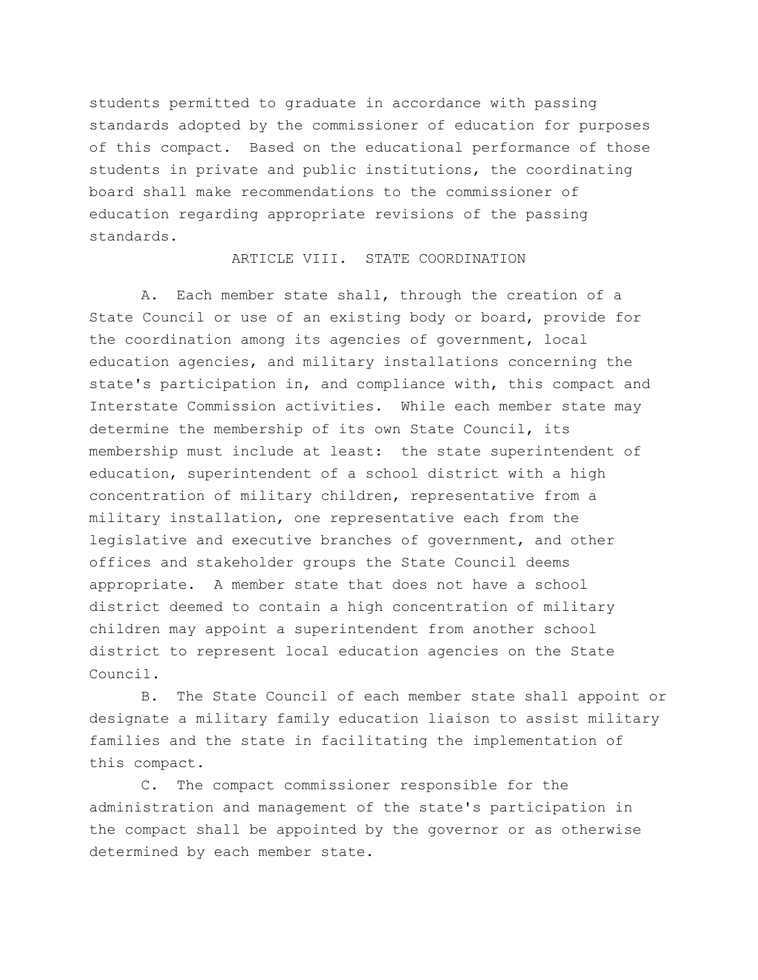students permitted to graduate in accordance with passing standards adopted by the commissioner of education for purposes of this compact. Based on the educational performance of those students in private and public institutions, the coordinating board shall make recommendations to the commissioner of education regarding appropriate revisions of the passing standards.

#### ARTICLE VIII. STATE COORDINATION

A. Each member state shall, through the creation of a State Council or use of an existing body or board, provide for the coordination among its agencies of government, local education agencies, and military installations concerning the state's participation in, and compliance with, this compact and Interstate Commission activities. While each member state may determine the membership of its own State Council, its membership must include at least: the state superintendent of education, superintendent of a school district with a high concentration of military children, representative from a military installation, one representative each from the legislative and executive branches of government, and other offices and stakeholder groups the State Council deems appropriate. A member state that does not have a school district deemed to contain a high concentration of military children may appoint a superintendent from another school district to represent local education agencies on the State Council.

B. The State Council of each member state shall appoint or designate a military family education liaison to assist military families and the state in facilitating the implementation of this compact.

C. The compact commissioner responsible for the administration and management of the state's participation in the compact shall be appointed by the governor or as otherwise determined by each member state.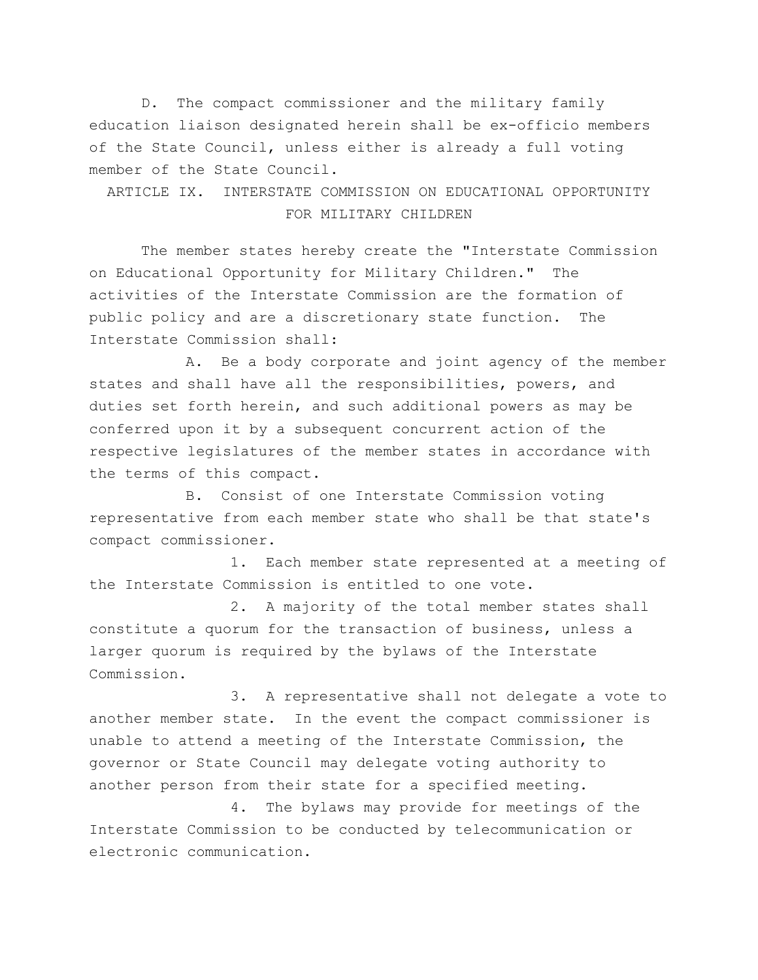D. The compact commissioner and the military family education liaison designated herein shall be ex-officio members of the State Council, unless either is already a full voting member of the State Council.

ARTICLE IX. INTERSTATE COMMISSION ON EDUCATIONAL OPPORTUNITY FOR MILITARY CHILDREN

The member states hereby create the "Interstate Commission on Educational Opportunity for Military Children." The activities of the Interstate Commission are the formation of public policy and are a discretionary state function. The Interstate Commission shall:

A. Be a body corporate and joint agency of the member states and shall have all the responsibilities, powers, and duties set forth herein, and such additional powers as may be conferred upon it by a subsequent concurrent action of the respective legislatures of the member states in accordance with the terms of this compact.

B. Consist of one Interstate Commission voting representative from each member state who shall be that state's compact commissioner.

1. Each member state represented at a meeting of the Interstate Commission is entitled to one vote.

2. A majority of the total member states shall constitute a quorum for the transaction of business, unless a larger quorum is required by the bylaws of the Interstate Commission.

3. A representative shall not delegate a vote to another member state. In the event the compact commissioner is unable to attend a meeting of the Interstate Commission, the governor or State Council may delegate voting authority to another person from their state for a specified meeting.

4. The bylaws may provide for meetings of the Interstate Commission to be conducted by telecommunication or electronic communication.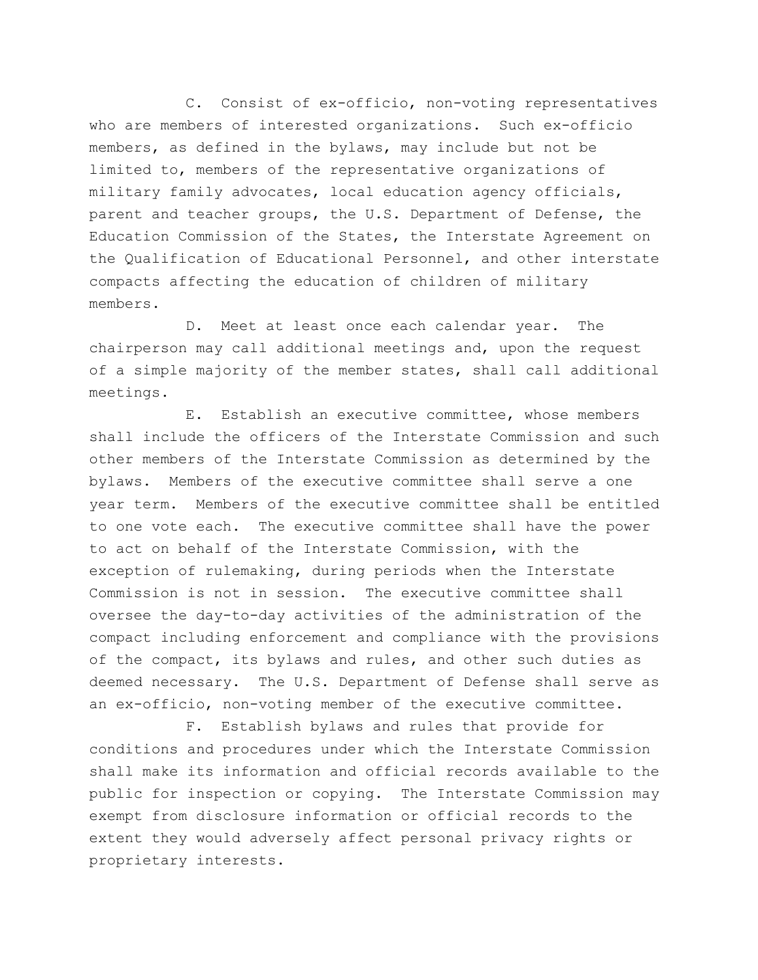C. Consist of ex-officio, non-voting representatives who are members of interested organizations. Such ex-officio members, as defined in the bylaws, may include but not be limited to, members of the representative organizations of military family advocates, local education agency officials, parent and teacher groups, the U.S. Department of Defense, the Education Commission of the States, the Interstate Agreement on the Qualification of Educational Personnel, and other interstate compacts affecting the education of children of military members.

D. Meet at least once each calendar year. The chairperson may call additional meetings and, upon the request of a simple majority of the member states, shall call additional meetings.

E. Establish an executive committee, whose members shall include the officers of the Interstate Commission and such other members of the Interstate Commission as determined by the bylaws. Members of the executive committee shall serve a one year term. Members of the executive committee shall be entitled to one vote each. The executive committee shall have the power to act on behalf of the Interstate Commission, with the exception of rulemaking, during periods when the Interstate Commission is not in session. The executive committee shall oversee the day-to-day activities of the administration of the compact including enforcement and compliance with the provisions of the compact, its bylaws and rules, and other such duties as deemed necessary. The U.S. Department of Defense shall serve as an ex-officio, non-voting member of the executive committee.

F. Establish bylaws and rules that provide for conditions and procedures under which the Interstate Commission shall make its information and official records available to the public for inspection or copying. The Interstate Commission may exempt from disclosure information or official records to the extent they would adversely affect personal privacy rights or proprietary interests.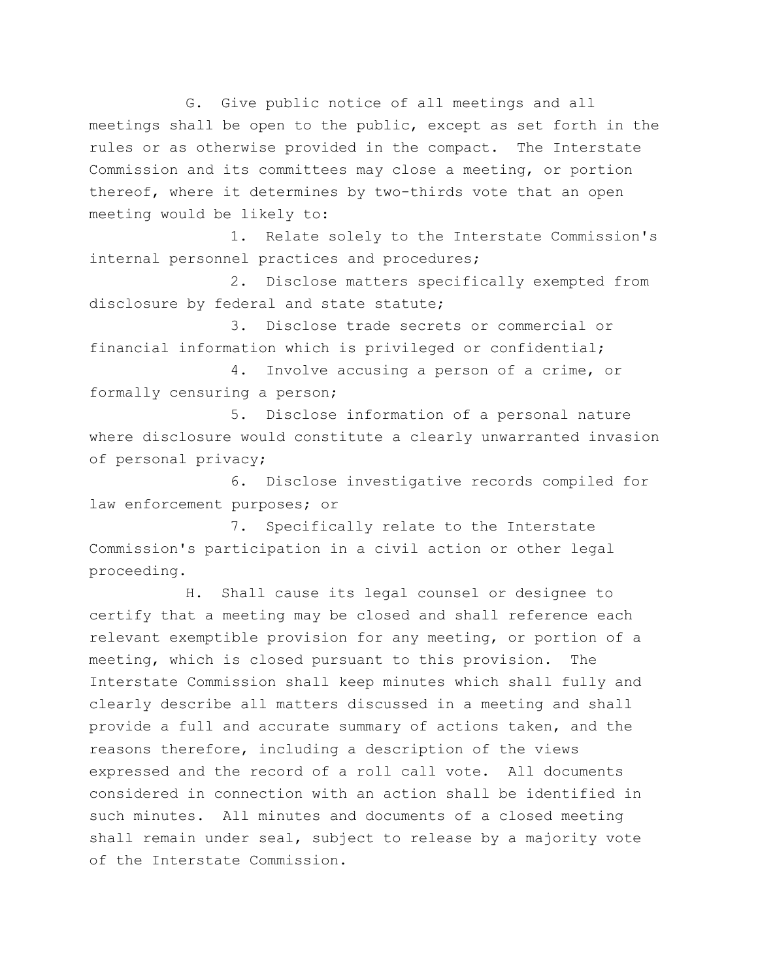G. Give public notice of all meetings and all meetings shall be open to the public, except as set forth in the rules or as otherwise provided in the compact. The Interstate Commission and its committees may close a meeting, or portion thereof, where it determines by two-thirds vote that an open meeting would be likely to:

1. Relate solely to the Interstate Commission's internal personnel practices and procedures;

2. Disclose matters specifically exempted from disclosure by federal and state statute;

3. Disclose trade secrets or commercial or financial information which is privileged or confidential;

4. Involve accusing a person of a crime, or formally censuring a person;

5. Disclose information of a personal nature where disclosure would constitute a clearly unwarranted invasion of personal privacy;

6. Disclose investigative records compiled for law enforcement purposes; or

7. Specifically relate to the Interstate Commission's participation in a civil action or other legal proceeding.

H. Shall cause its legal counsel or designee to certify that a meeting may be closed and shall reference each relevant exemptible provision for any meeting, or portion of a meeting, which is closed pursuant to this provision. The Interstate Commission shall keep minutes which shall fully and clearly describe all matters discussed in a meeting and shall provide a full and accurate summary of actions taken, and the reasons therefore, including a description of the views expressed and the record of a roll call vote. All documents considered in connection with an action shall be identified in such minutes. All minutes and documents of a closed meeting shall remain under seal, subject to release by a majority vote of the Interstate Commission.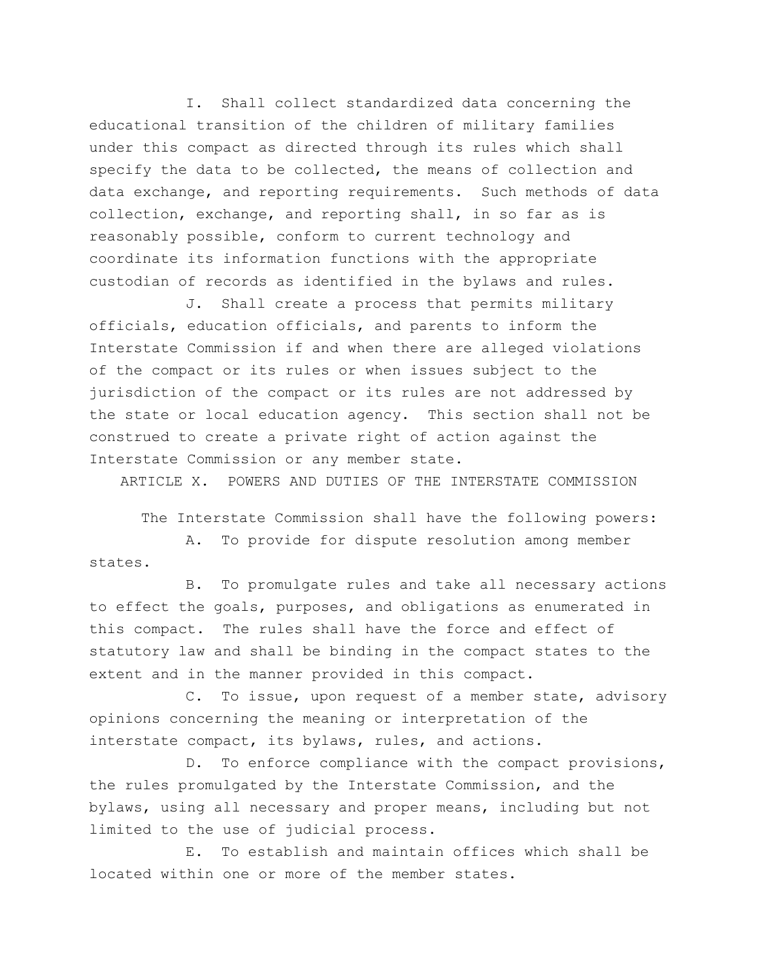I. Shall collect standardized data concerning the educational transition of the children of military families under this compact as directed through its rules which shall specify the data to be collected, the means of collection and data exchange, and reporting requirements. Such methods of data collection, exchange, and reporting shall, in so far as is reasonably possible, conform to current technology and coordinate its information functions with the appropriate custodian of records as identified in the bylaws and rules.

J. Shall create a process that permits military officials, education officials, and parents to inform the Interstate Commission if and when there are alleged violations of the compact or its rules or when issues subject to the jurisdiction of the compact or its rules are not addressed by the state or local education agency. This section shall not be construed to create a private right of action against the Interstate Commission or any member state.

ARTICLE X. POWERS AND DUTIES OF THE INTERSTATE COMMISSION

The Interstate Commission shall have the following powers:

A. To provide for dispute resolution among member states.

B. To promulgate rules and take all necessary actions to effect the goals, purposes, and obligations as enumerated in this compact. The rules shall have the force and effect of statutory law and shall be binding in the compact states to the extent and in the manner provided in this compact.

C. To issue, upon request of a member state, advisory opinions concerning the meaning or interpretation of the interstate compact, its bylaws, rules, and actions.

D. To enforce compliance with the compact provisions, the rules promulgated by the Interstate Commission, and the bylaws, using all necessary and proper means, including but not limited to the use of judicial process.

E. To establish and maintain offices which shall be located within one or more of the member states.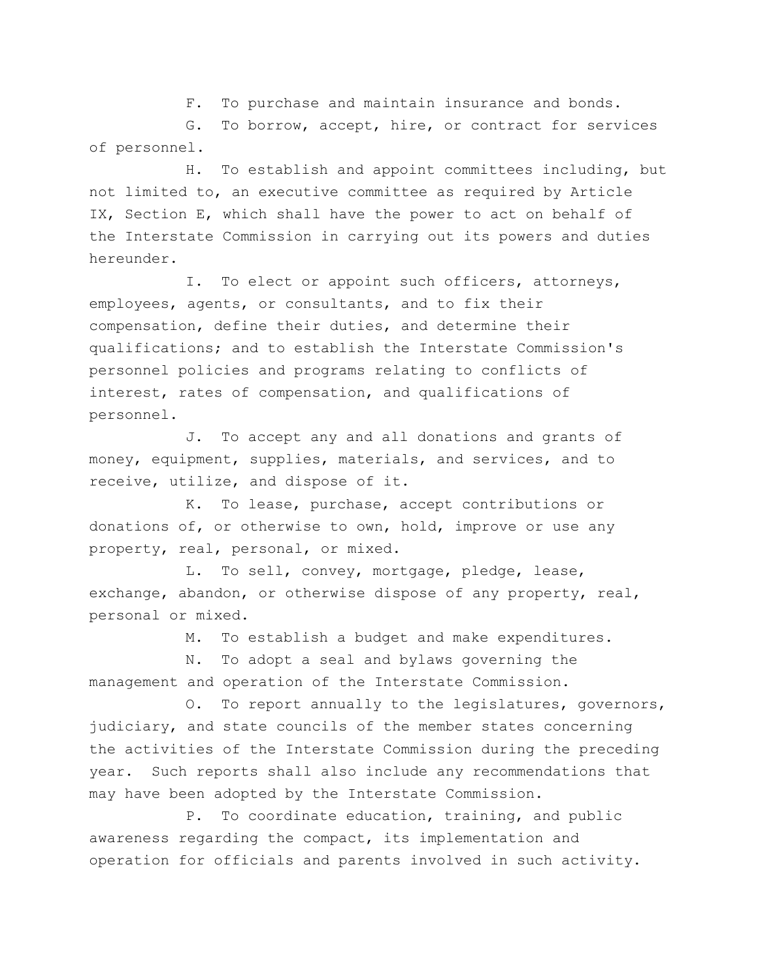F. To purchase and maintain insurance and bonds.

G. To borrow, accept, hire, or contract for services of personnel.

H. To establish and appoint committees including, but not limited to, an executive committee as required by Article IX, Section E, which shall have the power to act on behalf of the Interstate Commission in carrying out its powers and duties hereunder.

I. To elect or appoint such officers, attorneys, employees, agents, or consultants, and to fix their compensation, define their duties, and determine their qualifications; and to establish the Interstate Commission's personnel policies and programs relating to conflicts of interest, rates of compensation, and qualifications of personnel.

J. To accept any and all donations and grants of money, equipment, supplies, materials, and services, and to receive, utilize, and dispose of it.

K. To lease, purchase, accept contributions or donations of, or otherwise to own, hold, improve or use any property, real, personal, or mixed.

L. To sell, convey, mortgage, pledge, lease, exchange, abandon, or otherwise dispose of any property, real, personal or mixed.

M. To establish a budget and make expenditures.

N. To adopt a seal and bylaws governing the management and operation of the Interstate Commission.

O. To report annually to the legislatures, governors, judiciary, and state councils of the member states concerning the activities of the Interstate Commission during the preceding year. Such reports shall also include any recommendations that may have been adopted by the Interstate Commission.

P. To coordinate education, training, and public awareness regarding the compact, its implementation and operation for officials and parents involved in such activity.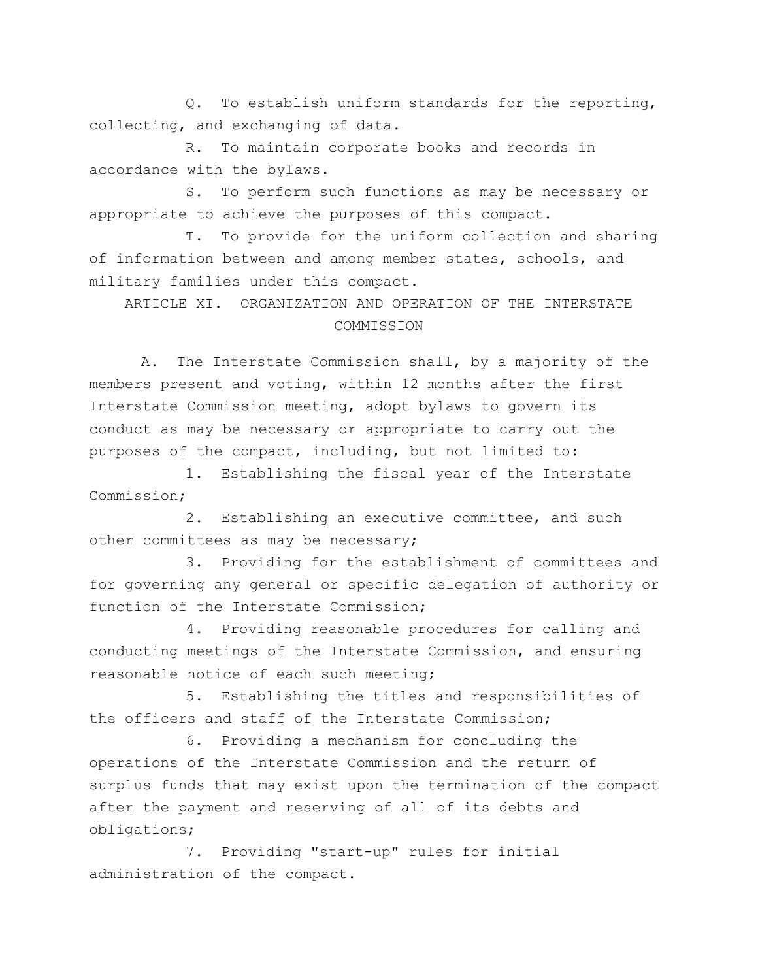Q. To establish uniform standards for the reporting, collecting, and exchanging of data.

R. To maintain corporate books and records in accordance with the bylaws.

S. To perform such functions as may be necessary or appropriate to achieve the purposes of this compact.

T. To provide for the uniform collection and sharing of information between and among member states, schools, and military families under this compact.

ARTICLE XI. ORGANIZATION AND OPERATION OF THE INTERSTATE COMMISSION

A. The Interstate Commission shall, by a majority of the members present and voting, within 12 months after the first Interstate Commission meeting, adopt bylaws to govern its conduct as may be necessary or appropriate to carry out the purposes of the compact, including, but not limited to:

1. Establishing the fiscal year of the Interstate Commission;

2. Establishing an executive committee, and such other committees as may be necessary;

3. Providing for the establishment of committees and for governing any general or specific delegation of authority or function of the Interstate Commission;

4. Providing reasonable procedures for calling and conducting meetings of the Interstate Commission, and ensuring reasonable notice of each such meeting;

5. Establishing the titles and responsibilities of the officers and staff of the Interstate Commission;

6. Providing a mechanism for concluding the operations of the Interstate Commission and the return of surplus funds that may exist upon the termination of the compact after the payment and reserving of all of its debts and obligations;

7. Providing "start-up" rules for initial administration of the compact.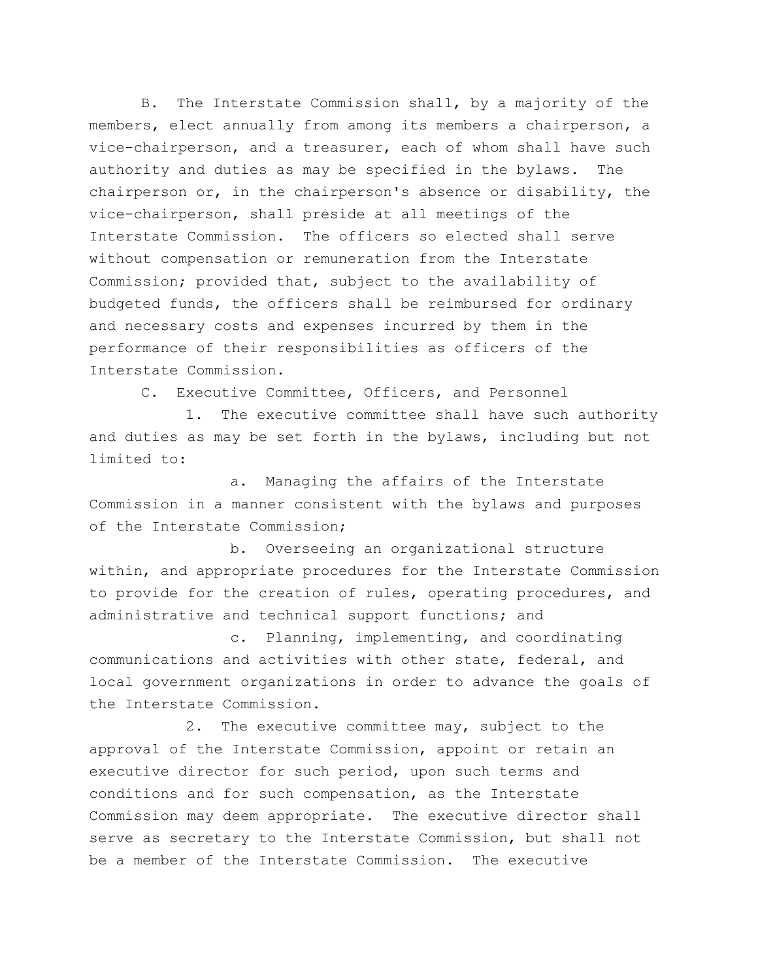B. The Interstate Commission shall, by a majority of the members, elect annually from among its members a chairperson, a vice-chairperson, and a treasurer, each of whom shall have such authority and duties as may be specified in the bylaws. The chairperson or, in the chairperson's absence or disability, the vice-chairperson, shall preside at all meetings of the Interstate Commission. The officers so elected shall serve without compensation or remuneration from the Interstate Commission; provided that, subject to the availability of budgeted funds, the officers shall be reimbursed for ordinary and necessary costs and expenses incurred by them in the performance of their responsibilities as officers of the Interstate Commission.

C. Executive Committee, Officers, and Personnel

1. The executive committee shall have such authority and duties as may be set forth in the bylaws, including but not limited to:

a. Managing the affairs of the Interstate Commission in a manner consistent with the bylaws and purposes of the Interstate Commission;

b. Overseeing an organizational structure within, and appropriate procedures for the Interstate Commission to provide for the creation of rules, operating procedures, and administrative and technical support functions; and

c. Planning, implementing, and coordinating communications and activities with other state, federal, and local government organizations in order to advance the goals of the Interstate Commission.

2. The executive committee may, subject to the approval of the Interstate Commission, appoint or retain an executive director for such period, upon such terms and conditions and for such compensation, as the Interstate Commission may deem appropriate. The executive director shall serve as secretary to the Interstate Commission, but shall not be a member of the Interstate Commission. The executive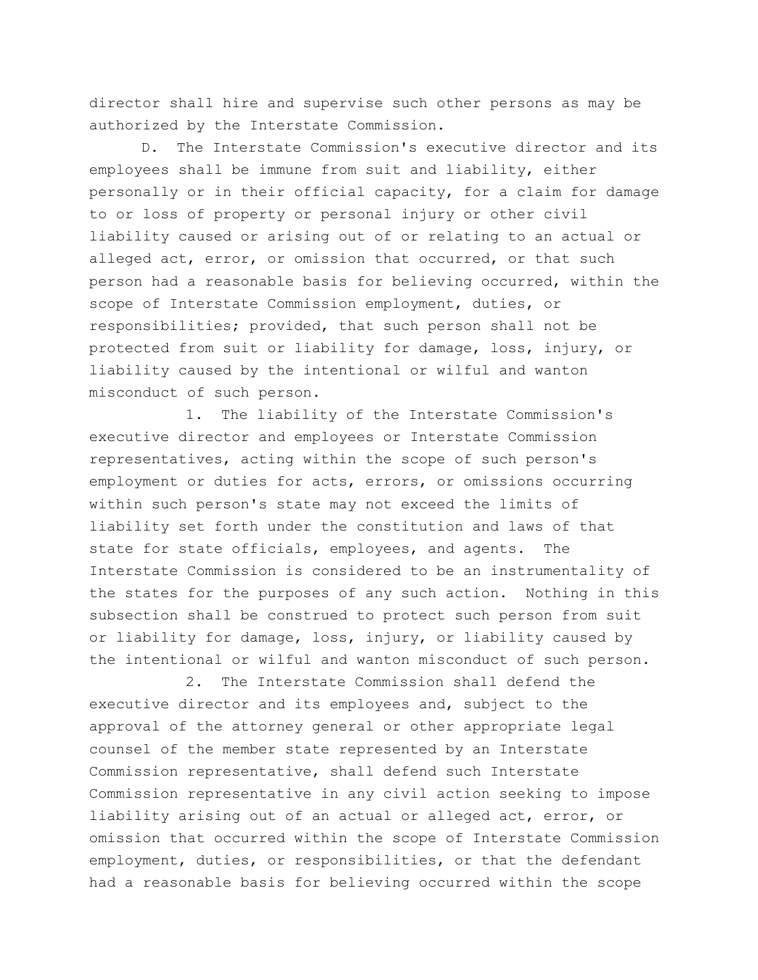director shall hire and supervise such other persons as may be authorized by the Interstate Commission.

D. The Interstate Commission's executive director and its employees shall be immune from suit and liability, either personally or in their official capacity, for a claim for damage to or loss of property or personal injury or other civil liability caused or arising out of or relating to an actual or alleged act, error, or omission that occurred, or that such person had a reasonable basis for believing occurred, within the scope of Interstate Commission employment, duties, or responsibilities; provided, that such person shall not be protected from suit or liability for damage, loss, injury, or liability caused by the intentional or wilful and wanton misconduct of such person.

1. The liability of the Interstate Commission's executive director and employees or Interstate Commission representatives, acting within the scope of such person's employment or duties for acts, errors, or omissions occurring within such person's state may not exceed the limits of liability set forth under the constitution and laws of that state for state officials, employees, and agents. The Interstate Commission is considered to be an instrumentality of the states for the purposes of any such action. Nothing in this subsection shall be construed to protect such person from suit or liability for damage, loss, injury, or liability caused by the intentional or wilful and wanton misconduct of such person.

2. The Interstate Commission shall defend the executive director and its employees and, subject to the approval of the attorney general or other appropriate legal counsel of the member state represented by an Interstate Commission representative, shall defend such Interstate Commission representative in any civil action seeking to impose liability arising out of an actual or alleged act, error, or omission that occurred within the scope of Interstate Commission employment, duties, or responsibilities, or that the defendant had a reasonable basis for believing occurred within the scope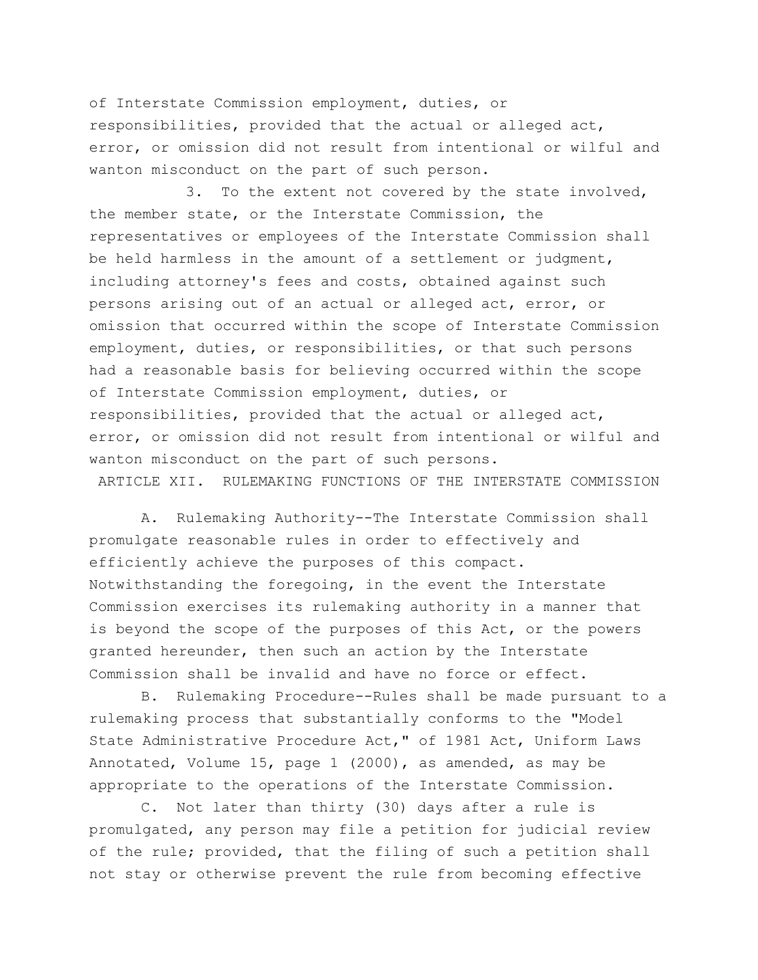of Interstate Commission employment, duties, or responsibilities, provided that the actual or alleged act, error, or omission did not result from intentional or wilful and wanton misconduct on the part of such person.

3. To the extent not covered by the state involved, the member state, or the Interstate Commission, the representatives or employees of the Interstate Commission shall be held harmless in the amount of a settlement or judgment, including attorney's fees and costs, obtained against such persons arising out of an actual or alleged act, error, or omission that occurred within the scope of Interstate Commission employment, duties, or responsibilities, or that such persons had a reasonable basis for believing occurred within the scope of Interstate Commission employment, duties, or responsibilities, provided that the actual or alleged act, error, or omission did not result from intentional or wilful and wanton misconduct on the part of such persons.

ARTICLE XII. RULEMAKING FUNCTIONS OF THE INTERSTATE COMMISSION

A. Rulemaking Authority--The Interstate Commission shall promulgate reasonable rules in order to effectively and efficiently achieve the purposes of this compact. Notwithstanding the foregoing, in the event the Interstate Commission exercises its rulemaking authority in a manner that is beyond the scope of the purposes of this Act, or the powers granted hereunder, then such an action by the Interstate Commission shall be invalid and have no force or effect.

B. Rulemaking Procedure--Rules shall be made pursuant to a rulemaking process that substantially conforms to the "Model State Administrative Procedure Act," of 1981 Act, Uniform Laws Annotated, Volume 15, page 1 (2000), as amended, as may be appropriate to the operations of the Interstate Commission.

C. Not later than thirty (30) days after a rule is promulgated, any person may file a petition for judicial review of the rule; provided, that the filing of such a petition shall not stay or otherwise prevent the rule from becoming effective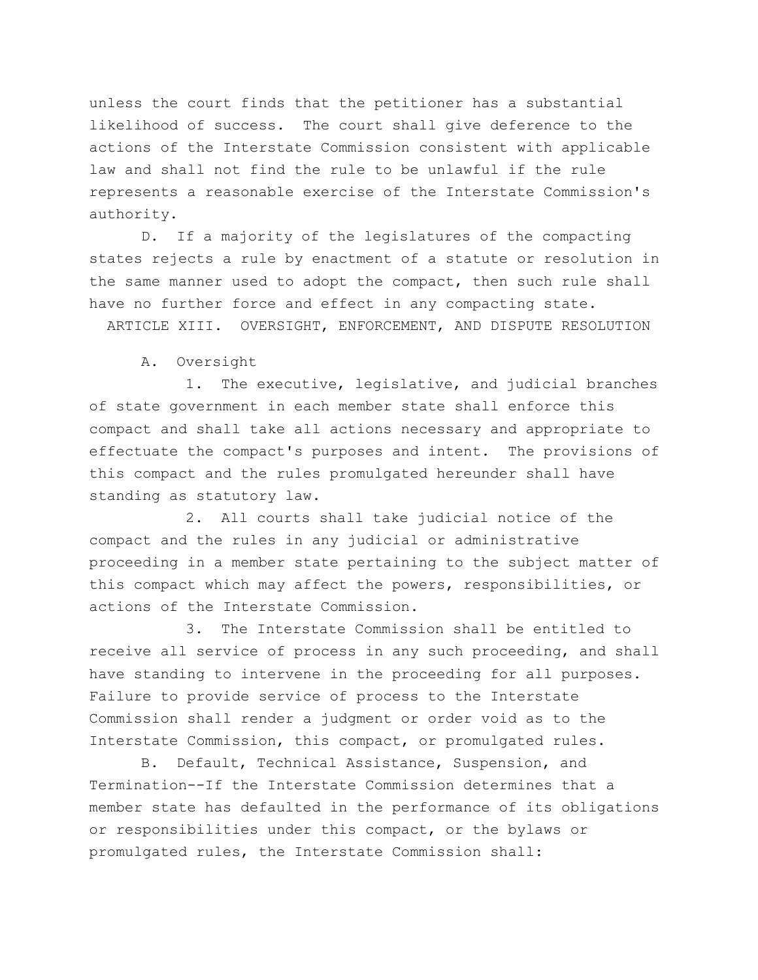unless the court finds that the petitioner has a substantial likelihood of success. The court shall give deference to the actions of the Interstate Commission consistent with applicable law and shall not find the rule to be unlawful if the rule represents a reasonable exercise of the Interstate Commission's authority.

D. If a majority of the legislatures of the compacting states rejects a rule by enactment of a statute or resolution in the same manner used to adopt the compact, then such rule shall have no further force and effect in any compacting state.

ARTICLE XIII. OVERSIGHT, ENFORCEMENT, AND DISPUTE RESOLUTION

A. Oversight

1. The executive, legislative, and judicial branches of state government in each member state shall enforce this compact and shall take all actions necessary and appropriate to effectuate the compact's purposes and intent. The provisions of this compact and the rules promulgated hereunder shall have standing as statutory law.

2. All courts shall take judicial notice of the compact and the rules in any judicial or administrative proceeding in a member state pertaining to the subject matter of this compact which may affect the powers, responsibilities, or actions of the Interstate Commission.

3. The Interstate Commission shall be entitled to receive all service of process in any such proceeding, and shall have standing to intervene in the proceeding for all purposes. Failure to provide service of process to the Interstate Commission shall render a judgment or order void as to the Interstate Commission, this compact, or promulgated rules.

B. Default, Technical Assistance, Suspension, and Termination--If the Interstate Commission determines that a member state has defaulted in the performance of its obligations or responsibilities under this compact, or the bylaws or promulgated rules, the Interstate Commission shall: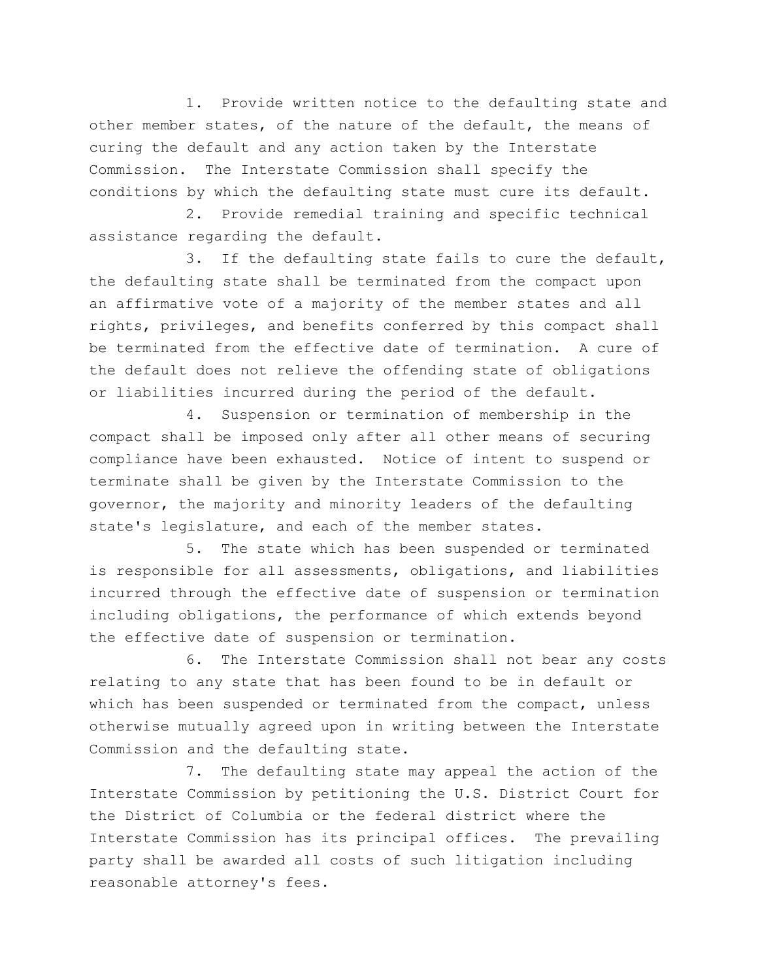1. Provide written notice to the defaulting state and other member states, of the nature of the default, the means of curing the default and any action taken by the Interstate Commission. The Interstate Commission shall specify the conditions by which the defaulting state must cure its default.

2. Provide remedial training and specific technical assistance regarding the default.

3. If the defaulting state fails to cure the default, the defaulting state shall be terminated from the compact upon an affirmative vote of a majority of the member states and all rights, privileges, and benefits conferred by this compact shall be terminated from the effective date of termination. A cure of the default does not relieve the offending state of obligations or liabilities incurred during the period of the default.

4. Suspension or termination of membership in the compact shall be imposed only after all other means of securing compliance have been exhausted. Notice of intent to suspend or terminate shall be given by the Interstate Commission to the governor, the majority and minority leaders of the defaulting state's legislature, and each of the member states.

5. The state which has been suspended or terminated is responsible for all assessments, obligations, and liabilities incurred through the effective date of suspension or termination including obligations, the performance of which extends beyond the effective date of suspension or termination.

6. The Interstate Commission shall not bear any costs relating to any state that has been found to be in default or which has been suspended or terminated from the compact, unless otherwise mutually agreed upon in writing between the Interstate Commission and the defaulting state.

7. The defaulting state may appeal the action of the Interstate Commission by petitioning the U.S. District Court for the District of Columbia or the federal district where the Interstate Commission has its principal offices. The prevailing party shall be awarded all costs of such litigation including reasonable attorney's fees.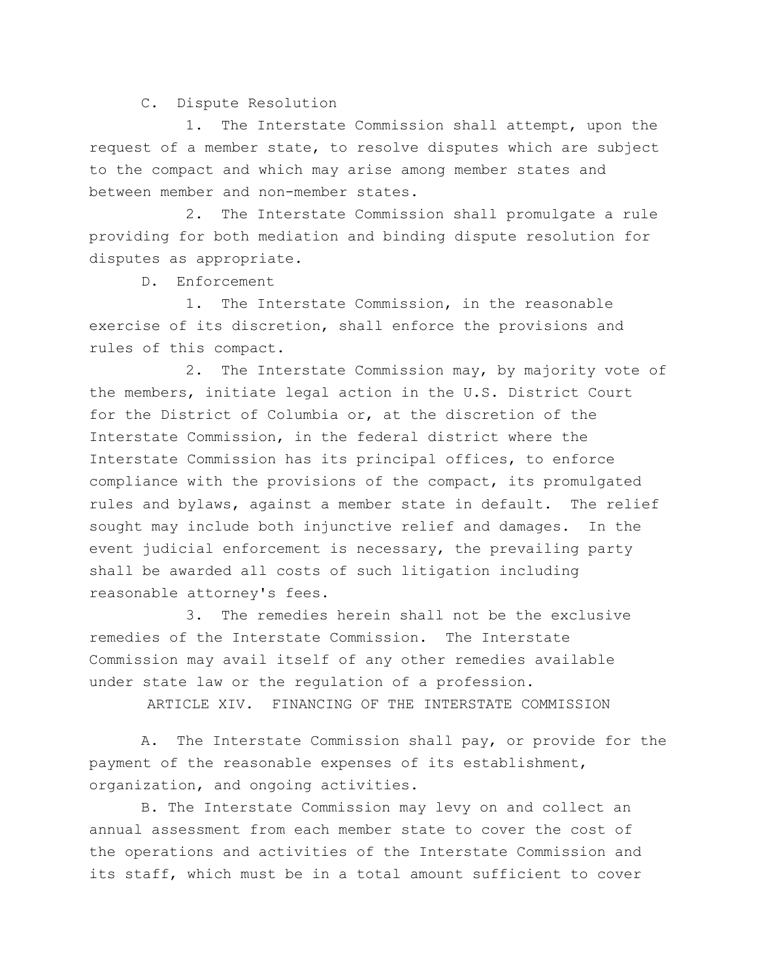## C. Dispute Resolution

1. The Interstate Commission shall attempt, upon the request of a member state, to resolve disputes which are subject to the compact and which may arise among member states and between member and non-member states.

2. The Interstate Commission shall promulgate a rule providing for both mediation and binding dispute resolution for disputes as appropriate.

D. Enforcement

1. The Interstate Commission, in the reasonable exercise of its discretion, shall enforce the provisions and rules of this compact.

2. The Interstate Commission may, by majority vote of the members, initiate legal action in the U.S. District Court for the District of Columbia or, at the discretion of the Interstate Commission, in the federal district where the Interstate Commission has its principal offices, to enforce compliance with the provisions of the compact, its promulgated rules and bylaws, against a member state in default. The relief sought may include both injunctive relief and damages. In the event judicial enforcement is necessary, the prevailing party shall be awarded all costs of such litigation including reasonable attorney's fees.

3. The remedies herein shall not be the exclusive remedies of the Interstate Commission. The Interstate Commission may avail itself of any other remedies available under state law or the regulation of a profession.

ARTICLE XIV. FINANCING OF THE INTERSTATE COMMISSION

A. The Interstate Commission shall pay, or provide for the payment of the reasonable expenses of its establishment, organization, and ongoing activities.

B. The Interstate Commission may levy on and collect an annual assessment from each member state to cover the cost of the operations and activities of the Interstate Commission and its staff, which must be in a total amount sufficient to cover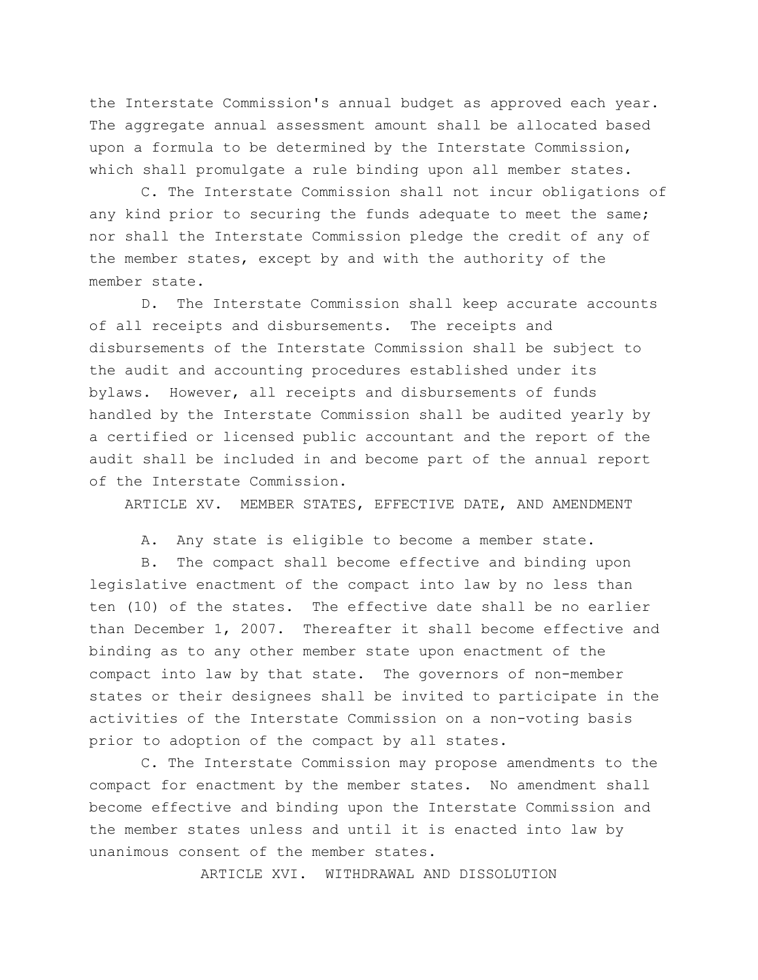the Interstate Commission's annual budget as approved each year. The aggregate annual assessment amount shall be allocated based upon a formula to be determined by the Interstate Commission, which shall promulgate a rule binding upon all member states.

C. The Interstate Commission shall not incur obligations of any kind prior to securing the funds adequate to meet the same; nor shall the Interstate Commission pledge the credit of any of the member states, except by and with the authority of the member state.

D. The Interstate Commission shall keep accurate accounts of all receipts and disbursements. The receipts and disbursements of the Interstate Commission shall be subject to the audit and accounting procedures established under its bylaws. However, all receipts and disbursements of funds handled by the Interstate Commission shall be audited yearly by a certified or licensed public accountant and the report of the audit shall be included in and become part of the annual report of the Interstate Commission.

ARTICLE XV. MEMBER STATES, EFFECTIVE DATE, AND AMENDMENT

A. Any state is eligible to become a member state.

B. The compact shall become effective and binding upon legislative enactment of the compact into law by no less than ten (10) of the states. The effective date shall be no earlier than December 1, 2007. Thereafter it shall become effective and binding as to any other member state upon enactment of the compact into law by that state. The governors of non-member states or their designees shall be invited to participate in the activities of the Interstate Commission on a non-voting basis prior to adoption of the compact by all states.

C. The Interstate Commission may propose amendments to the compact for enactment by the member states. No amendment shall become effective and binding upon the Interstate Commission and the member states unless and until it is enacted into law by unanimous consent of the member states.

ARTICLE XVI. WITHDRAWAL AND DISSOLUTION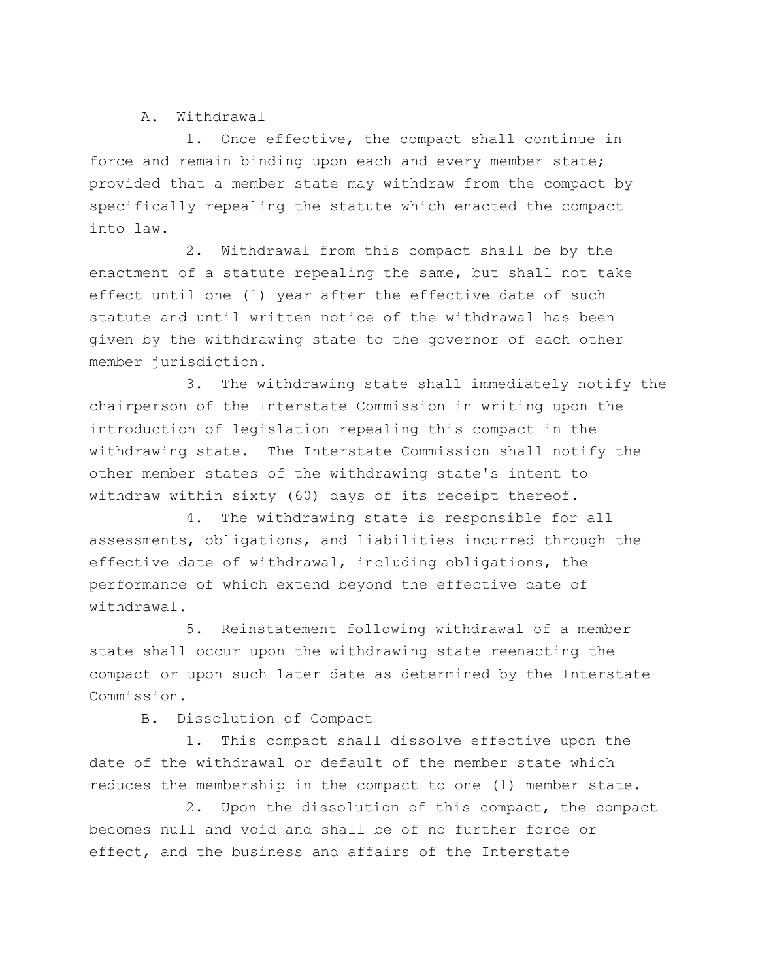## A. Withdrawal

1. Once effective, the compact shall continue in force and remain binding upon each and every member state; provided that a member state may withdraw from the compact by specifically repealing the statute which enacted the compact into law.

2. Withdrawal from this compact shall be by the enactment of a statute repealing the same, but shall not take effect until one (1) year after the effective date of such statute and until written notice of the withdrawal has been given by the withdrawing state to the governor of each other member jurisdiction.

3. The withdrawing state shall immediately notify the chairperson of the Interstate Commission in writing upon the introduction of legislation repealing this compact in the withdrawing state. The Interstate Commission shall notify the other member states of the withdrawing state's intent to withdraw within sixty (60) days of its receipt thereof.

4. The withdrawing state is responsible for all assessments, obligations, and liabilities incurred through the effective date of withdrawal, including obligations, the performance of which extend beyond the effective date of withdrawal.

5. Reinstatement following withdrawal of a member state shall occur upon the withdrawing state reenacting the compact or upon such later date as determined by the Interstate Commission.

B. Dissolution of Compact

1. This compact shall dissolve effective upon the date of the withdrawal or default of the member state which reduces the membership in the compact to one (1) member state.

2. Upon the dissolution of this compact, the compact becomes null and void and shall be of no further force or effect, and the business and affairs of the Interstate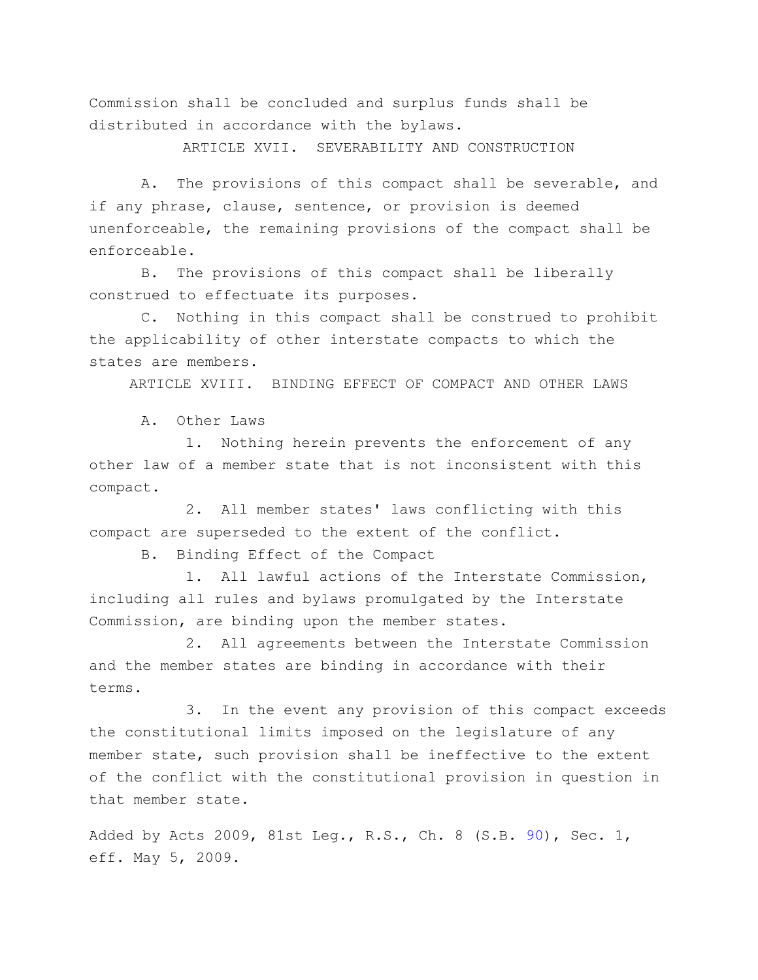Commission shall be concluded and surplus funds shall be distributed in accordance with the bylaws.

ARTICLE XVII. SEVERABILITY AND CONSTRUCTION

A. The provisions of this compact shall be severable, and if any phrase, clause, sentence, or provision is deemed unenforceable, the remaining provisions of the compact shall be enforceable.

B. The provisions of this compact shall be liberally construed to effectuate its purposes.

C. Nothing in this compact shall be construed to prohibit the applicability of other interstate compacts to which the states are members.

ARTICLE XVIII. BINDING EFFECT OF COMPACT AND OTHER LAWS

A. Other Laws

1. Nothing herein prevents the enforcement of any other law of a member state that is not inconsistent with this compact.

2. All member states' laws conflicting with this compact are superseded to the extent of the conflict.

B. Binding Effect of the Compact

1. All lawful actions of the Interstate Commission, including all rules and bylaws promulgated by the Interstate Commission, are binding upon the member states.

2. All agreements between the Interstate Commission and the member states are binding in accordance with their terms.

3. In the event any provision of this compact exceeds the constitutional limits imposed on the legislature of any member state, such provision shall be ineffective to the extent of the conflict with the constitutional provision in question in that member state.

Added by Acts 2009, 81st Leg., R.S., Ch. 8 (S.B. [90\)](http://www.legis.state.tx.us/tlodocs/81R/billtext/html/SB00090F.HTM), Sec. 1, eff. May 5, 2009.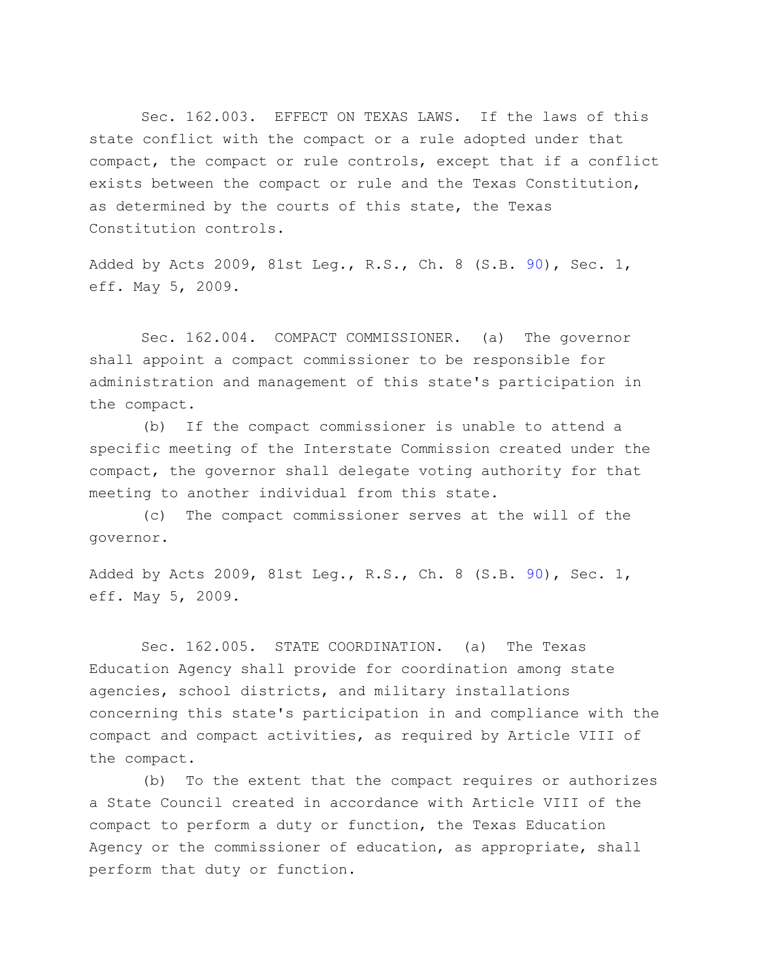Sec. 162.003. EFFECT ON TEXAS LAWS. If the laws of this state conflict with the compact or a rule adopted under that compact, the compact or rule controls, except that if a conflict exists between the compact or rule and the Texas Constitution, as determined by the courts of this state, the Texas Constitution controls.

Added by Acts 2009, 81st Leg., R.S., Ch. 8 (S.B. [90\)](http://www.legis.state.tx.us/tlodocs/81R/billtext/html/SB00090F.HTM), Sec. 1, eff. May 5, 2009.

Sec. 162.004. COMPACT COMMISSIONER. (a) The governor shall appoint a compact commissioner to be responsible for administration and management of this state's participation in the compact.

(b) If the compact commissioner is unable to attend a specific meeting of the Interstate Commission created under the compact, the governor shall delegate voting authority for that meeting to another individual from this state.

(c) The compact commissioner serves at the will of the governor.

Added by Acts 2009, 81st Leg., R.S., Ch. 8 (S.B. [90\)](http://www.legis.state.tx.us/tlodocs/81R/billtext/html/SB00090F.HTM), Sec. 1, eff. May 5, 2009.

Sec. 162.005. STATE COORDINATION. (a) The Texas Education Agency shall provide for coordination among state agencies, school districts, and military installations concerning this state's participation in and compliance with the compact and compact activities, as required by Article VIII of the compact.

(b) To the extent that the compact requires or authorizes a State Council created in accordance with Article VIII of the compact to perform a duty or function, the Texas Education Agency or the commissioner of education, as appropriate, shall perform that duty or function.